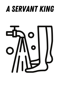## A Servant King

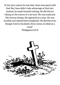'In his very nature he was God. Jesus was equal with God. But Jesus didn't take advantage of that fact. Instead, he made himself nothing. He did this by taking on the nature of a servant. He was made just like human beings. He appeared as a man. He was humble and obeyed God completely. He did this even though it led to his death. Even worse, he died on a cross!'

Philippians 2:6-8

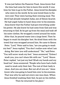'It was just before the Passover Feast. Jesus knew that the time had come for him to leave this world. It was time for him to go to the Father. Jesus loved his disciples who were in the world. So he now loved them to the very end. They were having their evening meal. The devil had already tempted Judas, son of Simon Iscariot. He had urged Judas to hand Jesus over to his enemies. Jesus knew that the Father had put everything under his power. He also knew he had come from God and was returning to God. So he got up from the meal and took off his outer clothes. He wrapped a towel around his waist. After that, he poured water into a large bowl. Then he began to wash his disciples' feet. He dried them with the towel that was wrapped around him. He came to Simon Peter. "Lord," Peter said to him, "are you going to wash my feet?" Jesus replied, "You don't realize now what I am doing. But later you will understand." "No," said Peter. "You will never wash my feet." Jesus answered, "Unless I wash you, you can't share life with me." "Lord," Simon Peter replied, "not just my feet! Wash my hands and my head too!" Jesus answered, "People who have had a bath need to wash only their feet. The rest of their body is clean. And you are clean. But not all of you are." Jesus knew who was going to hand him over to his enemies. That was why he said not every one was clean. When Jesus finished washing their feet, he put on his clothes. Then he returned to his place."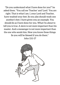"Do you understand what I have done for you?" he asked them. "You call me 'Teacher' and 'Lord.' You are right. That is what I am. I, your Lord and Teacher, have washed your feet. So you also should wash one another's feet. I have given you an example. You should do as I have done for you. What I'm about to tell you is true. A slave is not more important than his master. And a messenger is not more important than the one who sends him. Now you know these things. So you will be blessed if you do them."

John 13:1-17